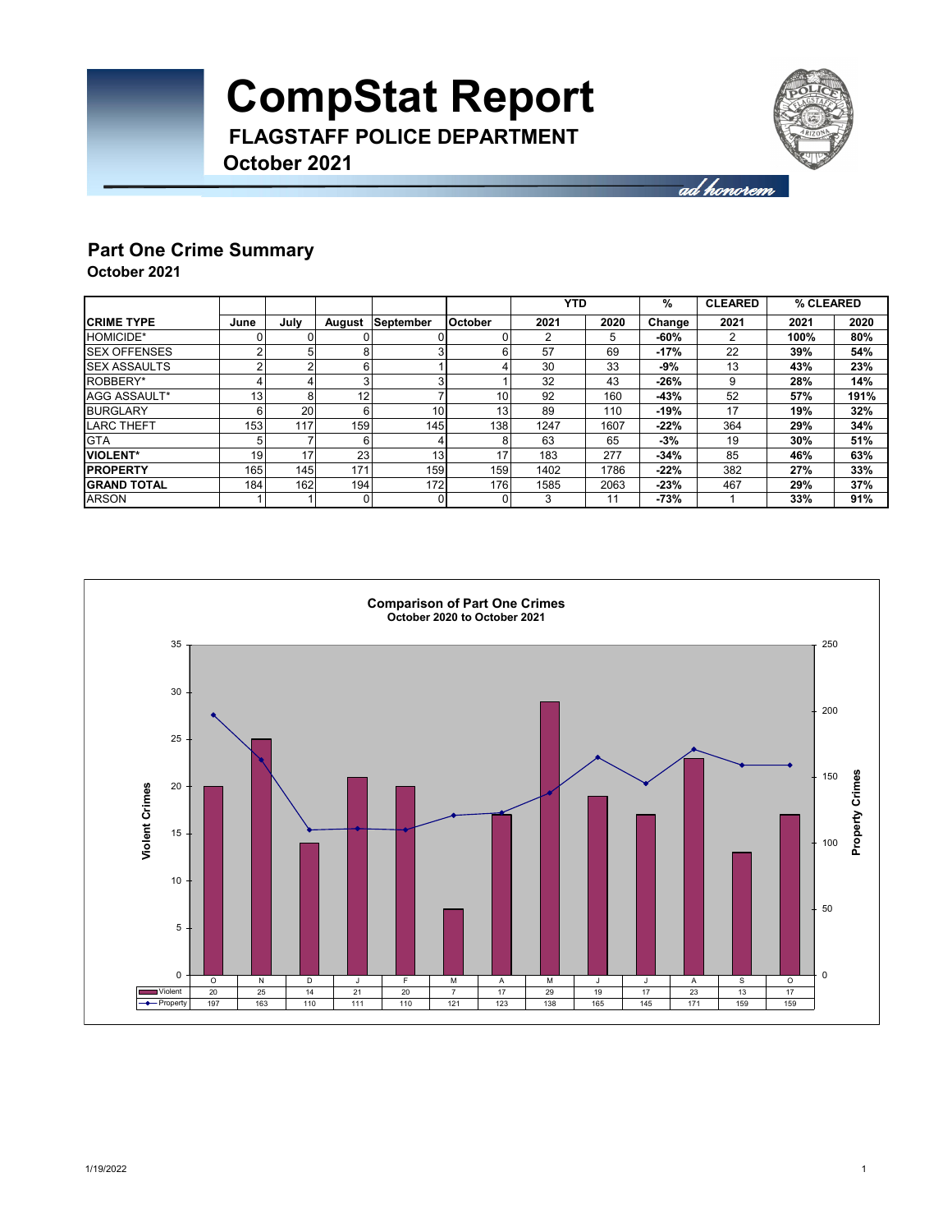

ad honorem

### **Part One Crime Summary**

**October 2021**

|                      |                 |      |        |                  |                | <b>YTD</b> |      | %      | <b>CLEARED</b> | % CLEARED |      |
|----------------------|-----------------|------|--------|------------------|----------------|------------|------|--------|----------------|-----------|------|
| <b>CRIME TYPE</b>    | June            | Julv | August | <b>September</b> | <b>October</b> | 2021       | 2020 | Change | 2021           | 2021      | 2020 |
| <b>HOMICIDE*</b>     | 0               |      |        |                  |                | ◠          | 5    | -60%   | 2              | 100%      | 80%  |
| <b>ISEX OFFENSES</b> | 2               | 5    |        |                  |                | 57         | 69   | $-17%$ | 22             | 39%       | 54%  |
| <b>SEX ASSAULTS</b>  | 2               | r    | o      |                  |                | 30         | 33   | -9%    | 13             | 43%       | 23%  |
| ROBBERY*             |                 |      |        |                  |                | 32         | 43   | $-26%$ | 9              | 28%       | 14%  |
| AGG ASSAULT*         | 13 <sub>l</sub> | 8    | 12     |                  | 10             | 92         | 160  | $-43%$ | 52             | 57%       | 191% |
| <b>BURGLARY</b>      | 6               | 20   | 6      | 10               | 13             | 89         | 110  | $-19%$ | 17             | 19%       | 32%  |
| <b>LARC THEFT</b>    | 153             | 117  | 159    | 1451             | 138            | 1247       | 1607 | $-22%$ | 364            | 29%       | 34%  |
| <b>GTA</b>           | 5 <sub>1</sub>  |      | 6      |                  |                | 63         | 65   | $-3%$  | 19             | 30%       | 51%  |
| <b>IVIOLENT*</b>     | 19              | 17   | 23     | 13 <sub>1</sub>  |                | 183        | 277  | $-34%$ | 85             | 46%       | 63%  |
| <b>PROPERTY</b>      | 165             | 145  | 171    | 159              | 159            | 1402       | 1786 | $-22%$ | 382            | 27%       | 33%  |
| <b>IGRAND TOTAL</b>  | 184             | 162  | 194    | 172              | 176            | 1585       | 2063 | $-23%$ | 467            | 29%       | 37%  |
| <b>ARSON</b>         |                 |      |        |                  |                | 3          | 11   | -73%   |                | 33%       | 91%  |

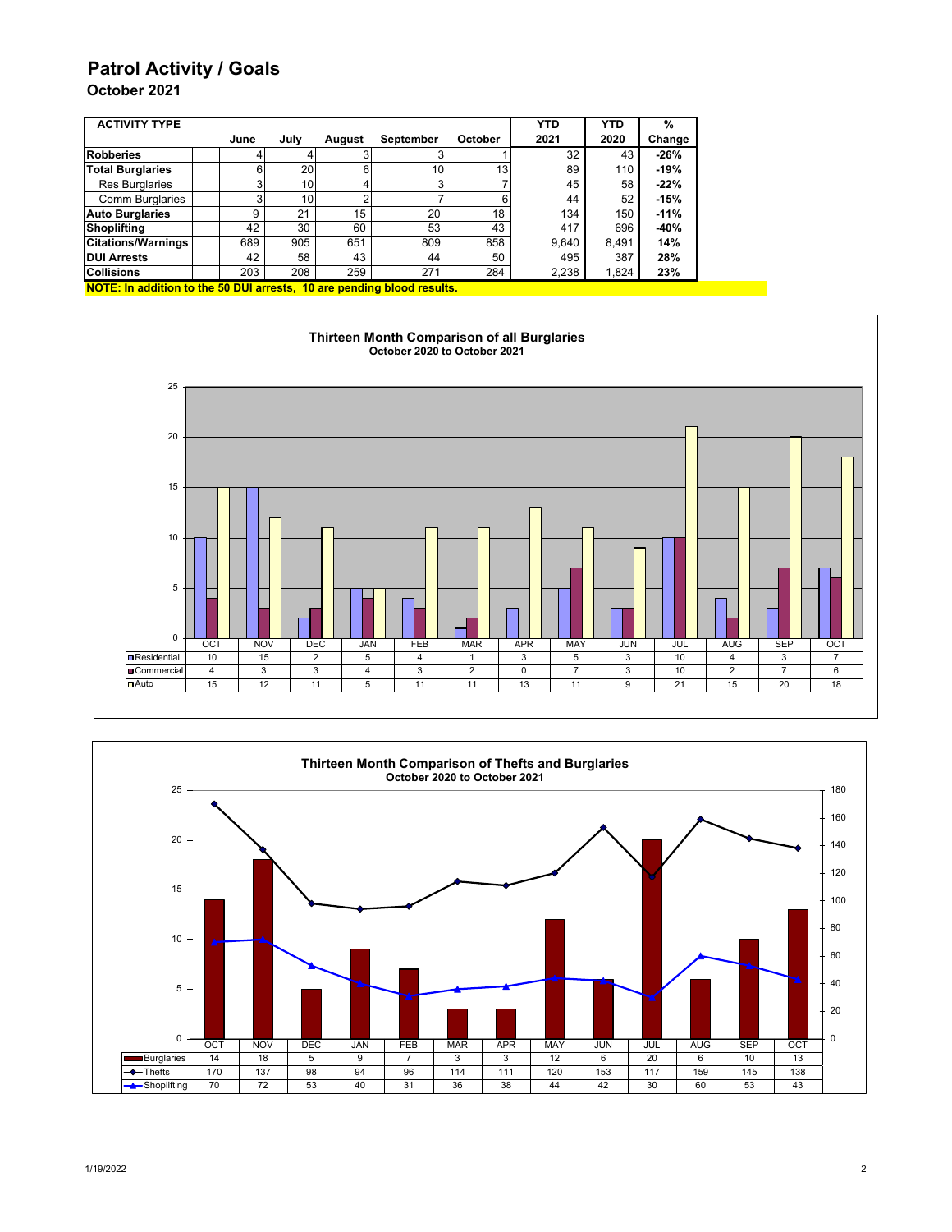### **Patrol Activity / Goals**

### **October 2021**

| <b>ACTIVITY TYPE</b>      |      |                 |        |                 |                 | <b>YTD</b> | <b>YTD</b> | %      |
|---------------------------|------|-----------------|--------|-----------------|-----------------|------------|------------|--------|
|                           | June | July            | August | September       | October         | 2021       | 2020       | Change |
| <b>Robberies</b>          |      |                 |        |                 |                 | 32         | 43         | $-26%$ |
| <b>Total Burglaries</b>   | 6    | <b>20</b>       |        | 10 <sub>1</sub> | 13 <sub>l</sub> | 89         | 110        | $-19%$ |
| <b>Res Burglaries</b>     |      | 10              |        |                 |                 | 45         | 58         | $-22%$ |
| <b>Comm Burglaries</b>    |      | 10 <sub>1</sub> |        |                 |                 | 44         | 52         | $-15%$ |
| <b>Auto Burglaries</b>    | 9    | 21              | 15     | 20              | 18              | 134        | 150        | $-11%$ |
| <b>Shoplifting</b>        | 42   | 30              | 60     | 53              | 43              | 417        | 696        | $-40%$ |
| <b>Citations/Warnings</b> | 689  | 905             | 651    | 809             | 858             | 9,640      | 8.491      | 14%    |
| <b>DUI Arrests</b>        | 42   | 58              | 43     | 44              | 50              | 495        | 387        | 28%    |
| <b>Collisions</b>         | 203  | 208             | 259    | 271             | 284             | 2,238      | 1,824      | 23%    |

**NOTE: In addition to the 50 DUI arrests, 10 are pending blood results.**



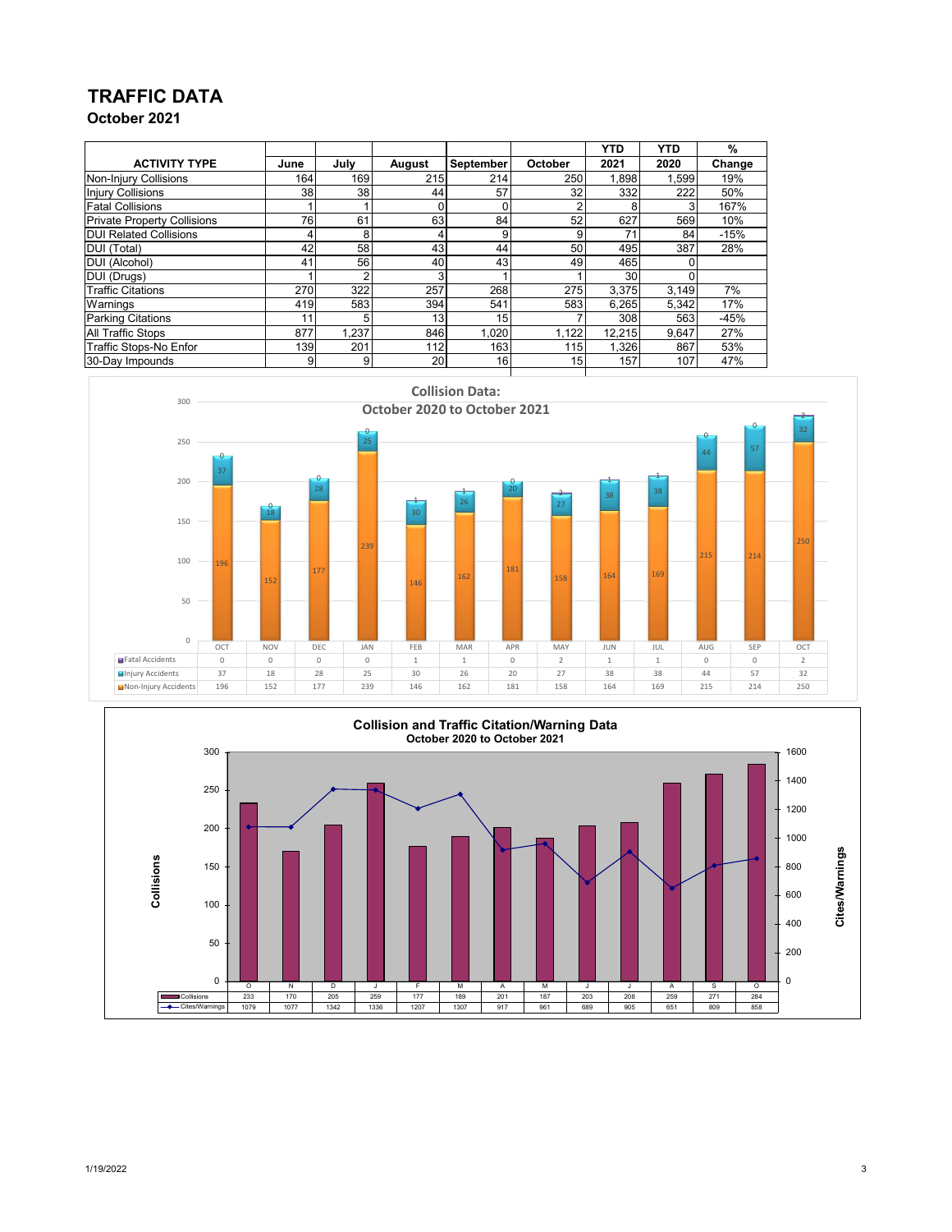## **TRAFFIC DATA**

**October 2021**

|                                    |      |       |        |                  |         | <b>YTD</b> | <b>YTD</b> | %      |
|------------------------------------|------|-------|--------|------------------|---------|------------|------------|--------|
| <b>ACTIVITY TYPE</b>               | June | July  | August | <b>September</b> | October | 2021       | 2020       | Change |
| Non-Injury Collisions              | 164  | 169   | 215    | 214              | 250     | 1,898      | 1,599      | 19%    |
| <b>Injury Collisions</b>           | 38   | 38    | 44     | 57               | 32      | 332        | 222        | 50%    |
| <b>Fatal Collisions</b>            |      |       |        | 0                | ົ       | 8          | 3          | 167%   |
| <b>Private Property Collisions</b> | 76   | 61    | 63     | 84               | 52      | 627        | 569        | 10%    |
| <b>DUI Related Collisions</b>      | 4    | 8     | 4      | 9                | 9       | 7,         | 84         | $-15%$ |
| <b>DUI</b> (Total)                 | 42   | 58    | 43     | 44               | 50      | 495        | 387        | 28%    |
| DUI (Alcohol)                      | 41   | 56    | 40     | 43 <sub>l</sub>  | 49      | 465        |            |        |
| DUI (Drugs)                        |      | ◠     | 3      |                  |         | 30         |            |        |
| <b>Traffic Citations</b>           | 270  | 322   | 257    | 268              | 275     | 3,375      | 3,149      | 7%     |
| Warnings                           | 419  | 583   | 394    | 541              | 583     | 6,265      | 5,342      | 17%    |
| <b>Parking Citations</b>           | 11   | 5     | 13     | 15               |         | 308        | 563        | $-45%$ |
| <b>All Traffic Stops</b>           | 877  | 1.237 | 846    | 1,020            | 1,122   | 12,215     | 9,647      | 27%    |
| Traffic Stops-No Enfor             | 139  | 201   | 112    | 163              | 115     | 1,326      | 867        | 53%    |
| 30-Day Impounds                    | 9    | 9     | 20     | 16               | 15      | 157        | 107        | 47%    |





1/19/2022 3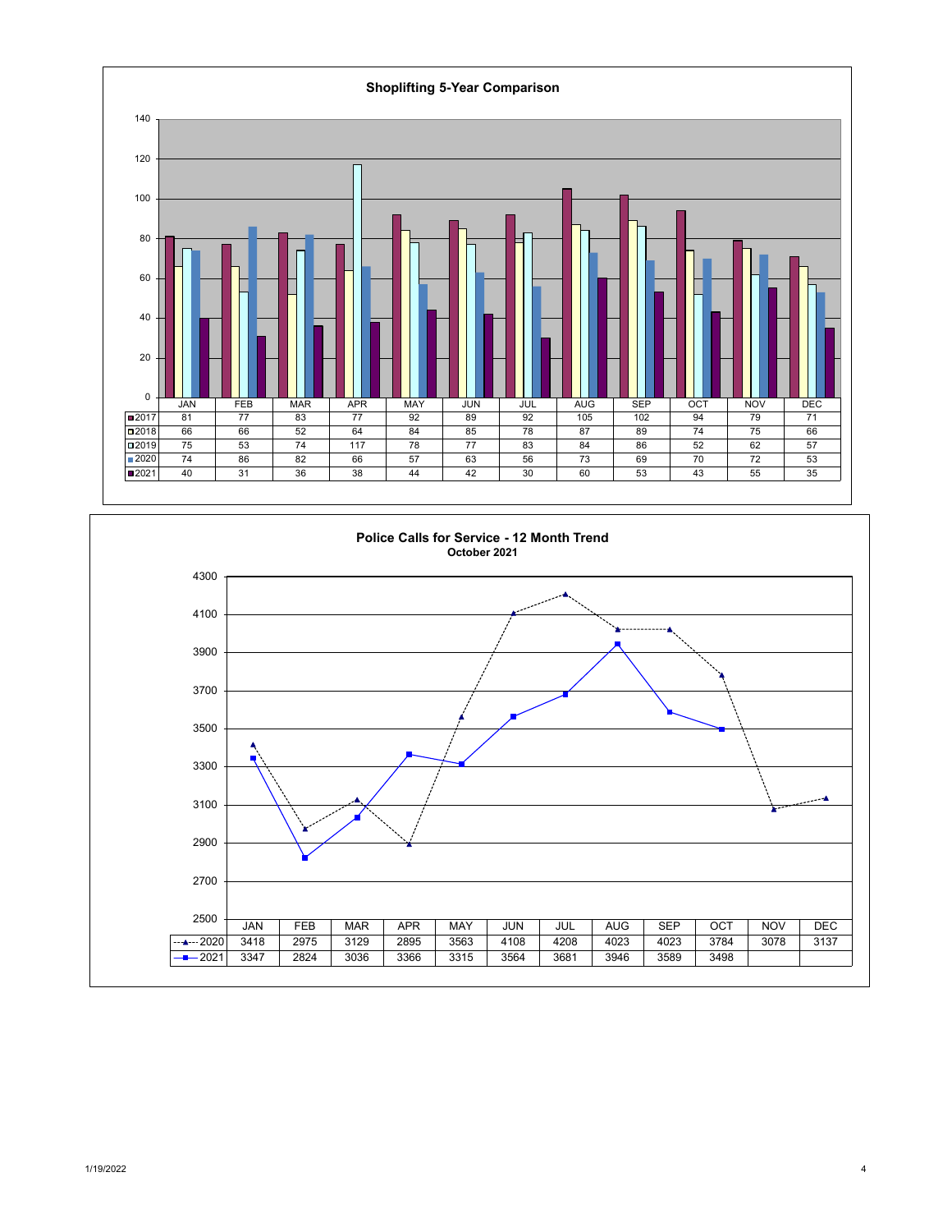

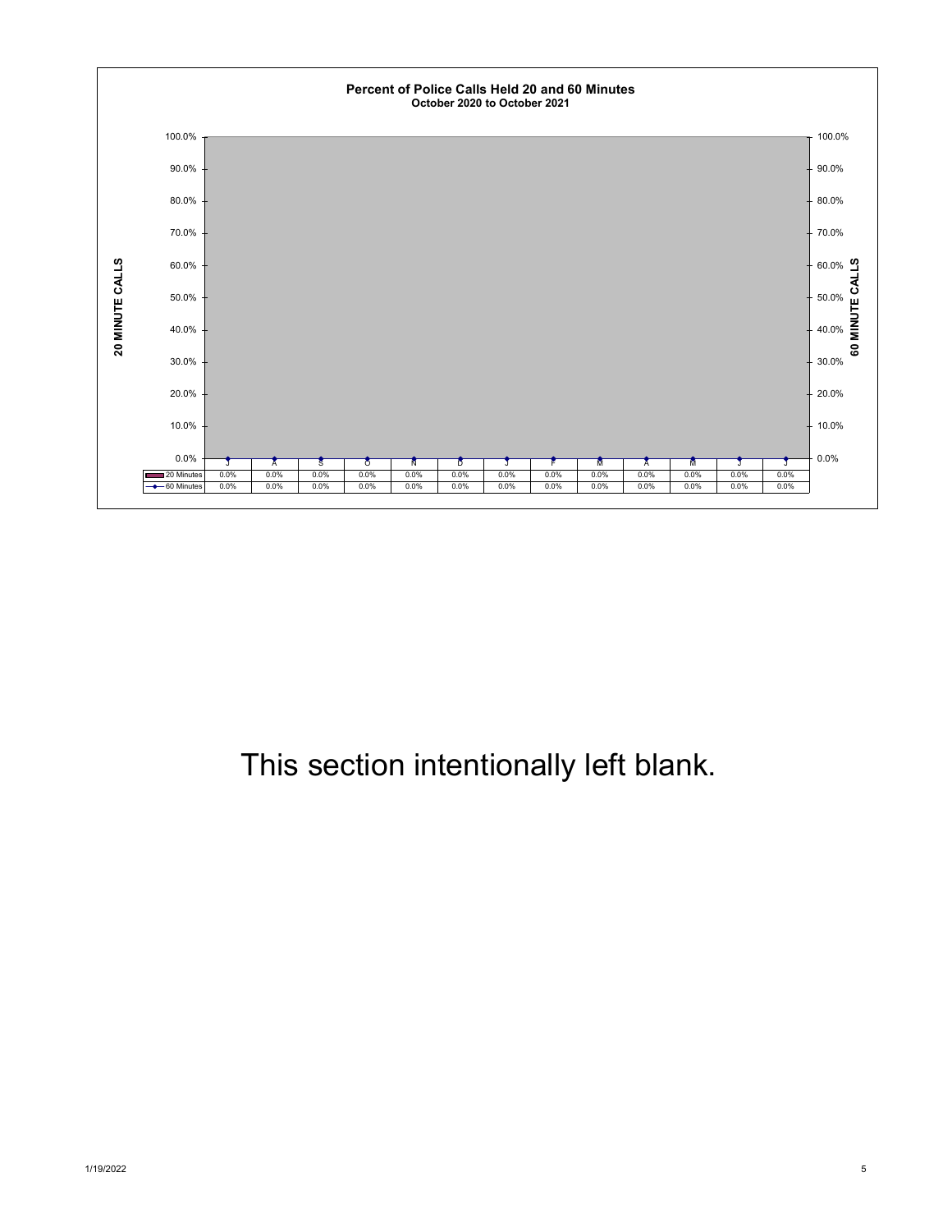

## This section intentionally left blank.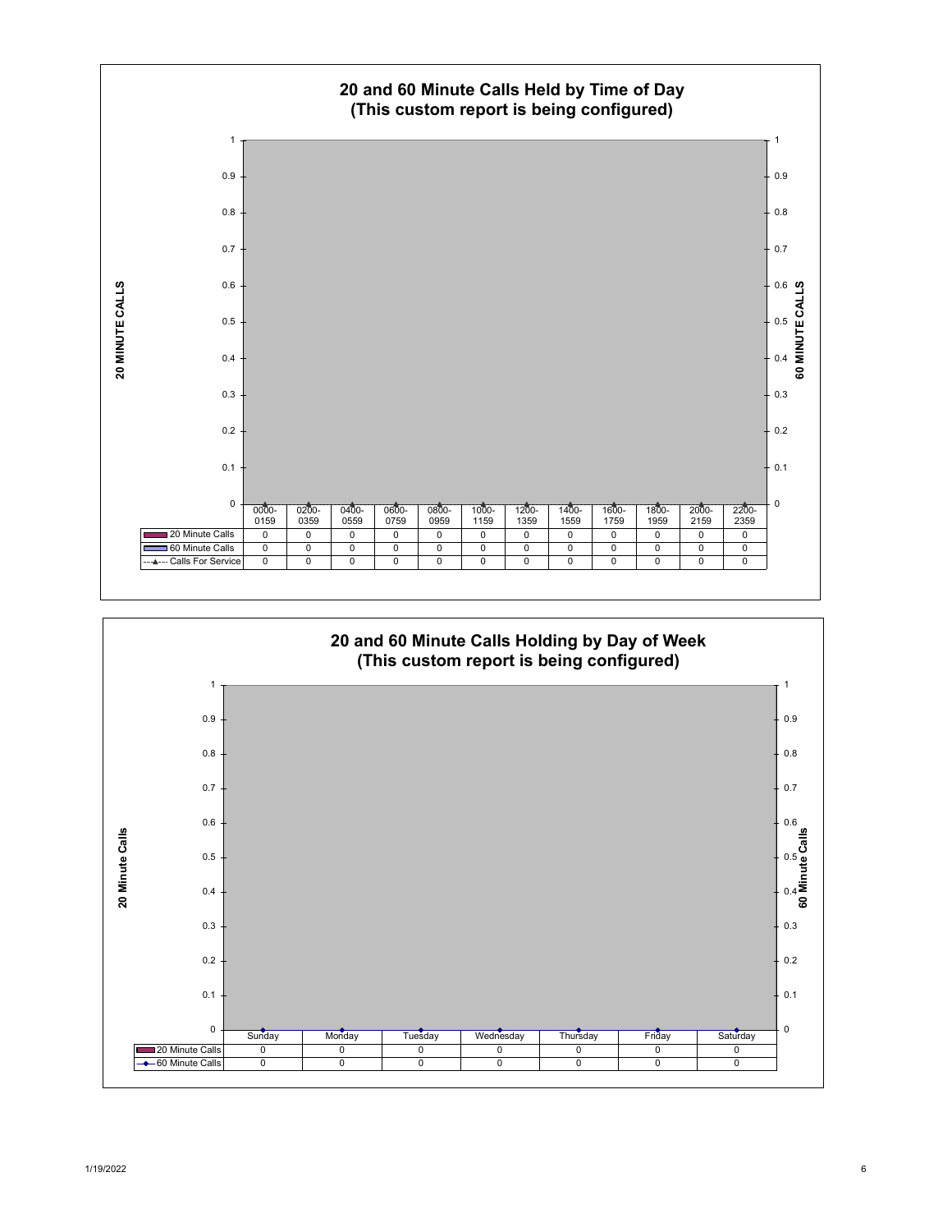

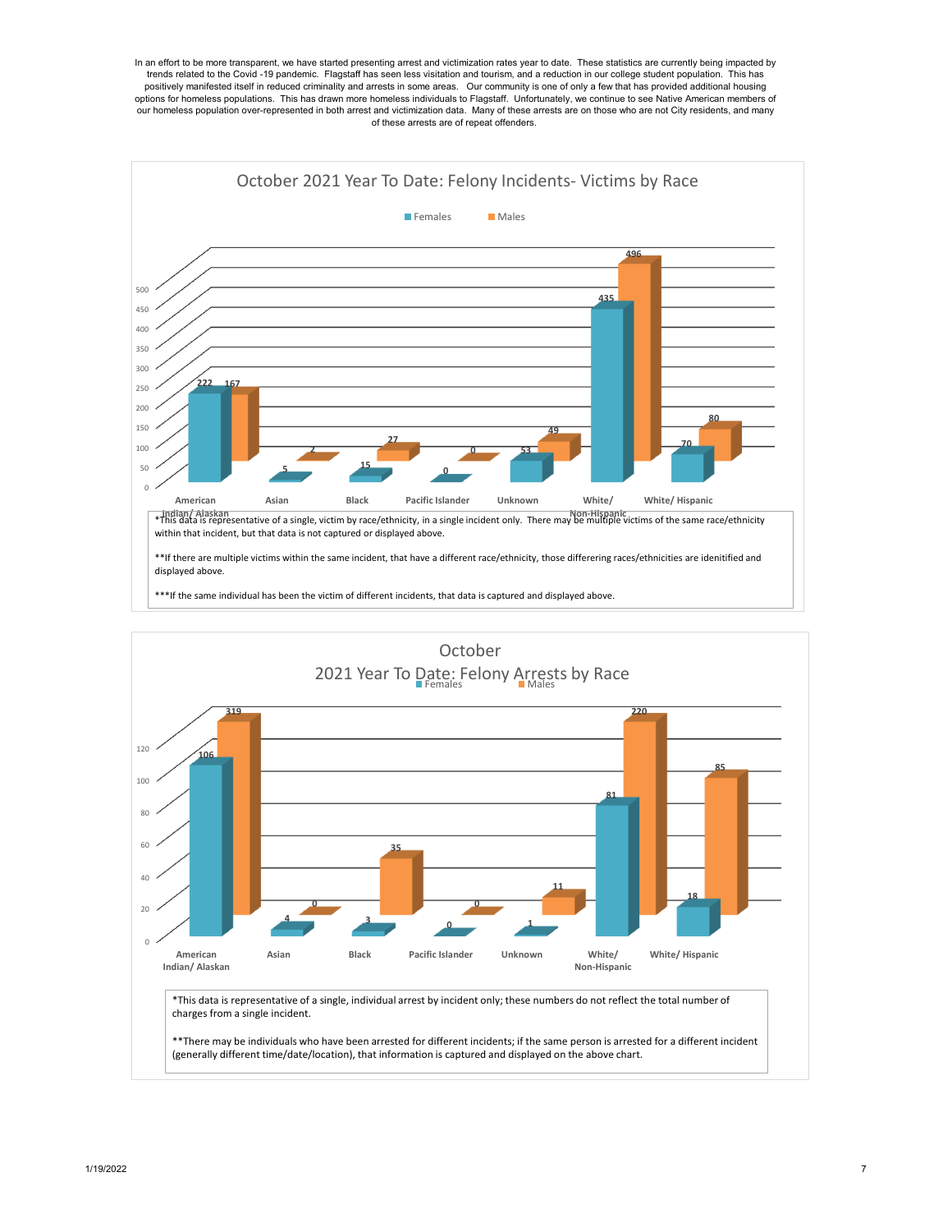In an effort to be more transparent, we have started presenting arrest and victimization rates year to date. These statistics are currently being impacted by trends related to the Covid -19 pandemic. Flagstaff has seen less visitation and tourism, and a reduction in our college student population. This has positively manifested itself in reduced criminality and arrests in some areas. Our community is one of only a few that has provided additional housing options for homeless populations. This has drawn more homeless individuals to Flagstaff. Unfortunately, we continue to see Native American members of our homeless population over-represented in both arrest and victimization data. Many of these arrests are on those who are not City residents, and many of these arrests are of repeat offenders.



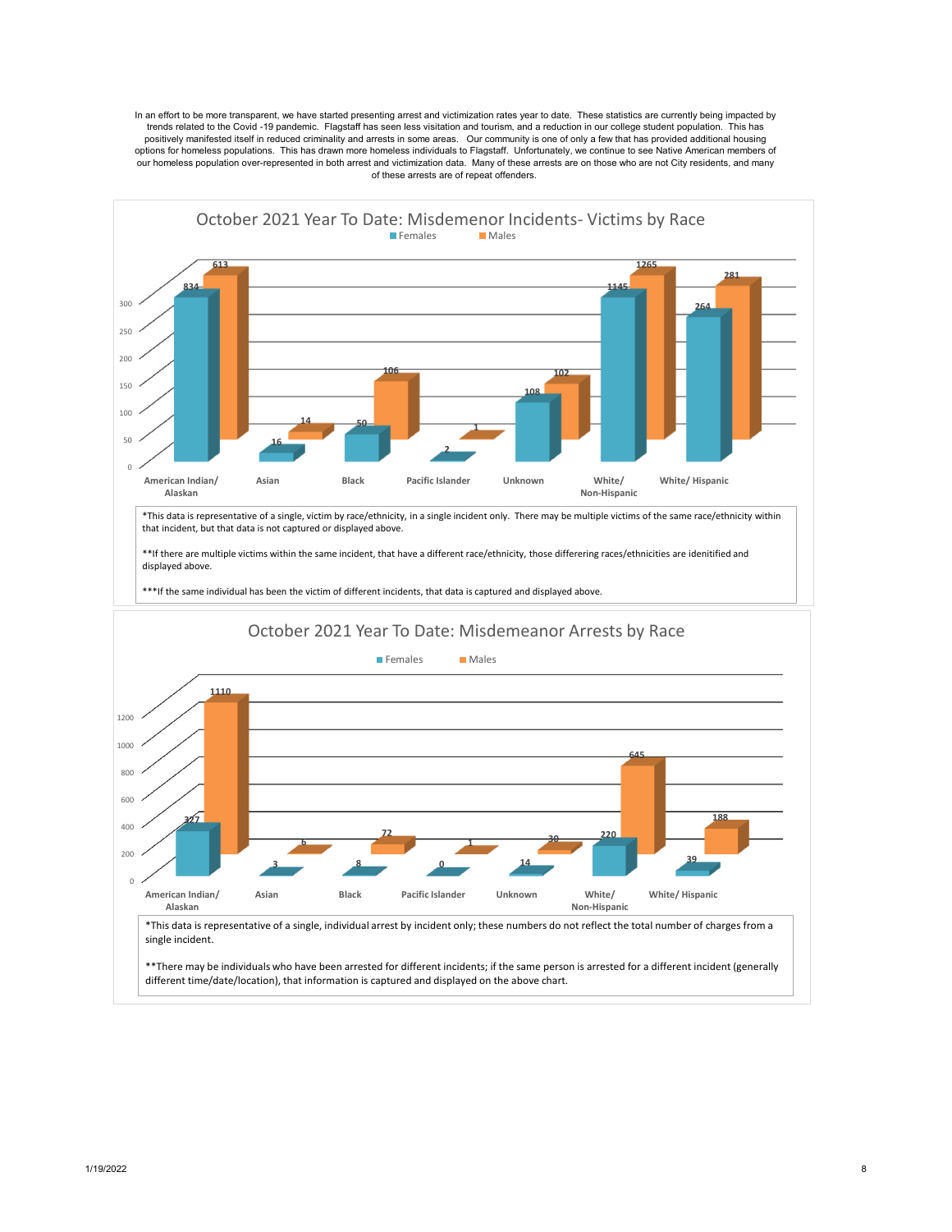In an effort to be more transparent, we have started presenting arrest and victimization rates year to date. These statistics are currently being impacted by trends related to the Covid -19 pandemic. Flagstaff has seen less visitation and tourism, and a reduction in our college student population. This has positively manifested itself in reduced criminality and arrests in some areas. Our community is one of only a few that has provided additional housing options for homeless populations. This has drawn more homeless individuals to Flagstaff. Unfortunately, we continue to see Native American members of our homeless population over-represented in both arrest and victimization data. Many of these arrests are on those who are not City residents, and many of these arrests are of repeat offenders.



different time/date/location), that information is captured and displayed on the above chart.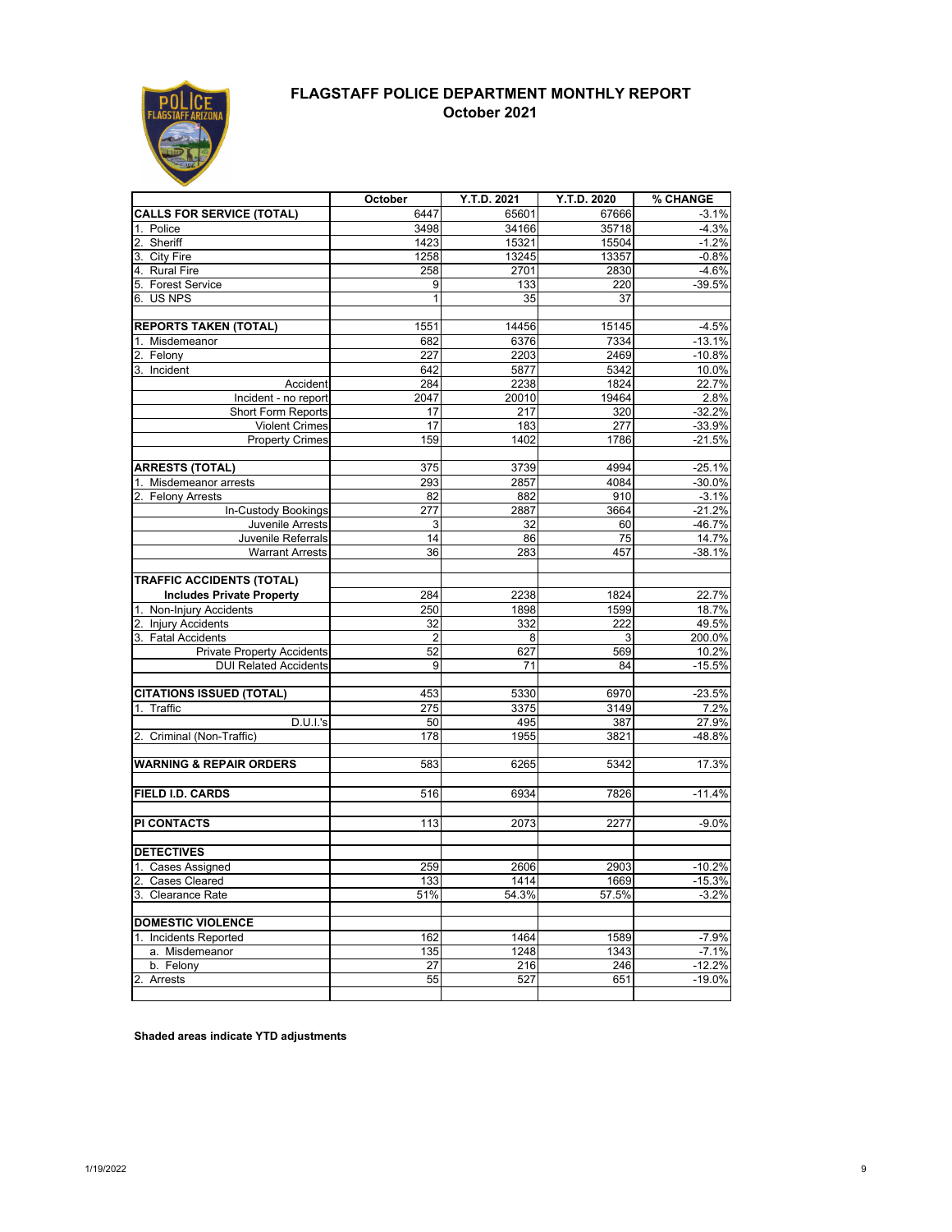

### **FLAGSTAFF POLICE DEPARTMENT MONTHLY REPORT October 2021**

|                                                 |                  |                      |                | % CHANGE           |
|-------------------------------------------------|------------------|----------------------|----------------|--------------------|
| <b>CALLS FOR SERVICE (TOTAL)</b>                | October<br>6447  | Y.T.D. 2021<br>65601 | Y.T.D. 2020    | $-3.1%$            |
|                                                 |                  |                      | 67666          |                    |
| Police<br>2. Sheriff                            | 3498<br>1423     | 34166                | 35718          | $-4.3%$            |
| City Fire<br>3.                                 | 1258             | 15321<br>13245       | 15504<br>13357 | $-1.2%$<br>$-0.8%$ |
| 4. Rural Fire                                   | 258              | 2701                 | 2830           | $-4.6%$            |
| 5. Forest Service                               | $\overline{9}$   | 133                  | 220            | $-39.5%$           |
| 6. US NPS                                       | $\mathbf{1}$     | 35                   | 37             |                    |
|                                                 |                  |                      |                |                    |
| <b>REPORTS TAKEN (TOTAL)</b>                    | 1551             | 14456                | 15145          | $-4.5%$            |
| Misdemeanor                                     | 682              | 6376                 | 7334           | $-13.1%$           |
| Felony<br>2.                                    | 227              | 2203                 | 2469           | $-10.8%$           |
| 3. Incident                                     | 642              | 5877                 | 5342           | 10.0%              |
| Accident                                        | 284              | 2238                 | 1824           | 22.7%              |
| Incident - no report                            | 2047             | 20010                | 19464          | 2.8%               |
| Short Form Reports                              | 17               | 217                  | 320            | $-32.2%$           |
| <b>Violent Crimes</b>                           | 17               | 183                  | 277            | $-33.9%$           |
| <b>Property Crimes</b>                          | 159              | 1402                 | 1786           | $-21.5%$           |
|                                                 |                  |                      |                |                    |
| <b>ARRESTS (TOTAL)</b>                          | 375              | 3739                 | 4994           | $-25.1%$           |
| Misdemeanor arrests                             | 293              | 2857                 | 4084           | $-30.0%$           |
| 2. Felony Arrests                               | 82               | 882                  | 910            | $-3.1%$            |
| In-Custody Bookings                             | $\overline{277}$ | 2887                 | 3664           | $-21.2%$           |
| Juvenile Arrests                                | 3                | 32                   | 60             | $-46.7%$           |
| Juvenile Referrals                              | $\overline{14}$  | 86                   | 75             | 14.7%              |
| <b>Warrant Arrests</b>                          | 36               | 283                  | 457            | $-38.1%$           |
|                                                 |                  |                      |                |                    |
| <b>TRAFFIC ACCIDENTS (TOTAL)</b>                |                  |                      |                |                    |
| <b>Includes Private Property</b>                | 284              | 2238                 | 1824           | 22.7%              |
| Non-Injury Accidents                            | 250              | 1898                 | 1599           | 18.7%              |
| 2. Injury Accidents                             | 32               | 332                  | 222            | 49.5%              |
| 3. Fatal Accidents                              | $\overline{2}$   | 8                    | 3              | 200.0%             |
| <b>Private Property Accidents</b>               | 52               | 627                  | 569            | 10.2%              |
| <b>DUI Related Accidents</b>                    | 9                | 71                   | 84             | $-15.5%$           |
|                                                 |                  |                      |                |                    |
| <b>CITATIONS ISSUED (TOTAL)</b>                 | 453              | 5330                 | 6970           | $-23.5%$           |
| Traffic<br>1.                                   | 275              | 3375                 | 3149           | 7.2%               |
| D.U.I.'s                                        | 50               | 495                  | 387            | 27.9%              |
| Criminal (Non-Traffic)                          | 178              | 1955                 | 3821           | -48.8%             |
| <b>WARNING &amp; REPAIR ORDERS</b>              | 583              | 6265                 | 5342           | 17.3%              |
|                                                 |                  |                      |                |                    |
| <b>FIELD I.D. CARDS</b>                         | 516              | 6934                 | 7826           | $-11.4%$           |
|                                                 |                  |                      |                |                    |
| <b>PI CONTACTS</b>                              | 113              | 2073                 |                | $-9.0%$            |
|                                                 |                  |                      | 2277           |                    |
| <b>DETECTIVES</b>                               |                  |                      |                |                    |
|                                                 | 259              | 2606                 | 2903           | $-10.2%$           |
| 1. Cases Assigned<br>2.<br><b>Cases Cleared</b> | 133              | 1414                 | 1669           | $-15.3%$           |
| 3. Clearance Rate                               | 51%              | 54.3%                | 57.5%          | $-3.2%$            |
|                                                 |                  |                      |                |                    |
| <b>DOMESTIC VIOLENCE</b>                        |                  |                      |                |                    |
| Incidents Reported                              | 162              | 1464                 | 1589           | $-7.9%$            |
| a. Misdemeanor                                  | 135              | 1248                 | 1343           | $-7.1%$            |
| b. Felony                                       | 27               | 216                  | 246            | $-12.2%$           |
| $\overline{2}$ .<br>Arrests                     | 55               | 527                  | 651            | $-19.0%$           |
|                                                 |                  |                      |                |                    |

**Shaded areas indicate YTD adjustments**